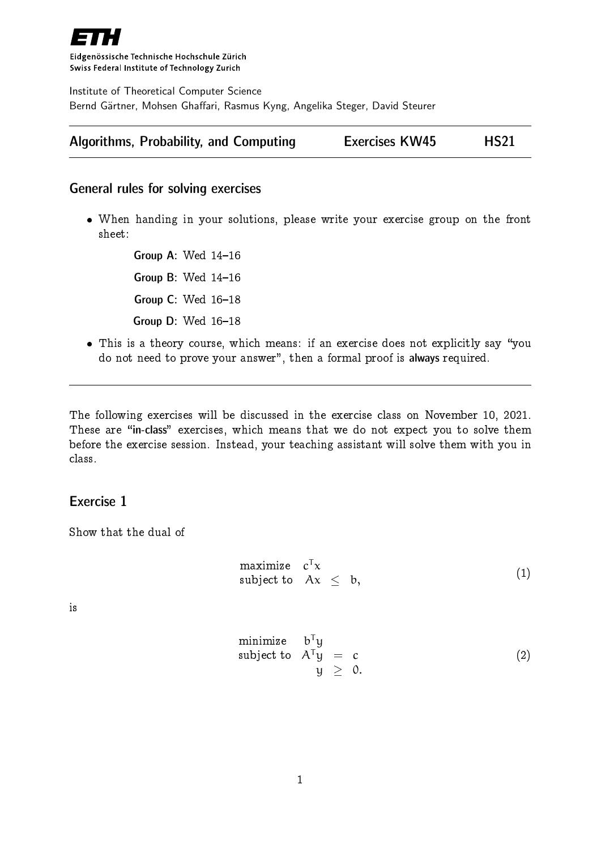

Eidgenössische Technische Hochschule Zürich Swiss Federal Institute of Technology Zurich

Institute of Theoretical Computer Science Bernd Gärtner, Mohsen Ghaffari, Rasmus Kyng, Angelika Steger, David Steurer

| <b>Algorithms, Probability, and Computing</b> | <b>Exercises KW45</b> | <b>HS21</b> |
|-----------------------------------------------|-----------------------|-------------|
|-----------------------------------------------|-----------------------|-------------|

#### General rules for solving exercises

 When handing in your solutions, please write your exercise group on the front sheet:

> Group A: Wed  $14-16$ Group B: Wed  $14-16$ Group C: Wed  $16-18$ Group  $D$ : Wed  $16-18$

• This is a theory course, which means: if an exercise does not explicitly say "you do not need to prove your answer", then a formal proof is always required.

The following exercises will be discussed in the exercise class on November 10, 2021. These are "in-class" exercises, which means that we do not expect you to solve them before the exercise session. Instead, your teaching assistant will solve them with you in class.

#### Exercise 1

Show that the dual of

$$
\begin{array}{ll}\text{maximize} & c^T x\\ \text{subject to} & Ax \leq b,\end{array} \tag{1}
$$

is

minimize 
$$
b^T y
$$
  
subject to  $A^T y = c$   
 $y \ge 0.$  (2)